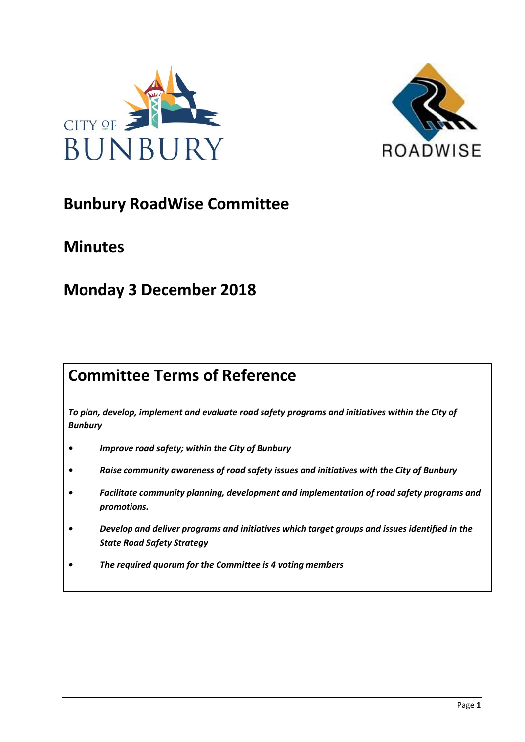



# **Bunbury RoadWise Committee**

# **Minutes**

# **Monday 3 December 2018**

# **Committee Terms of Reference**

*To plan, develop, implement and evaluate road safety programs and initiatives within the City of Bunbury*

- *• Improve road safety; within the City of Bunbury*
- *• Raise community awareness of road safety issues and initiatives with the City of Bunbury*
- *• Facilitate community planning, development and implementation of road safety programs and promotions.*
- *• Develop and deliver programs and initiatives which target groups and issues identified in the State Road Safety Strategy*
- *• The required quorum for the Committee is 4 voting members*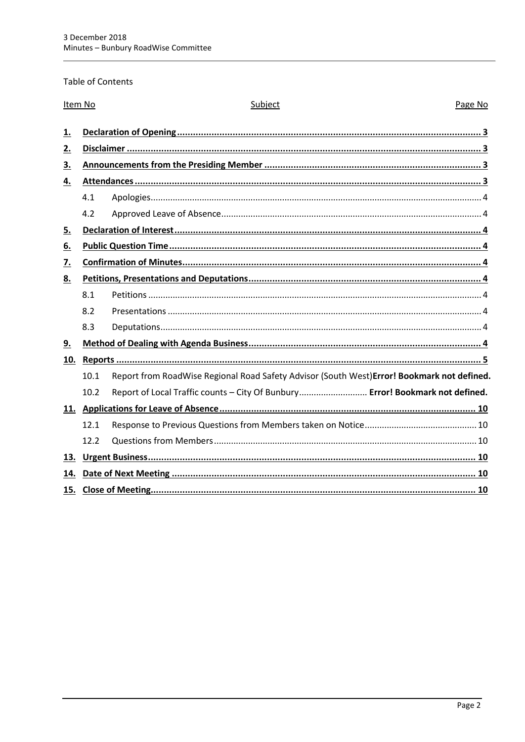## Table of Contents

| Item No          |      | Subject                                                                                    | Page No |
|------------------|------|--------------------------------------------------------------------------------------------|---------|
| 1.               |      |                                                                                            |         |
| 2.               |      |                                                                                            |         |
| 3.               |      |                                                                                            |         |
| 4.               |      |                                                                                            |         |
|                  | 4.1  |                                                                                            |         |
|                  | 4.2  |                                                                                            |         |
| 5.               |      |                                                                                            |         |
| 6.               |      |                                                                                            |         |
| $\overline{Z}$ . |      |                                                                                            |         |
| 8.               |      |                                                                                            |         |
|                  | 8.1  |                                                                                            |         |
|                  | 8.2  |                                                                                            |         |
|                  | 8.3  |                                                                                            |         |
| 9.               |      |                                                                                            |         |
| 10.              |      |                                                                                            |         |
|                  | 10.1 | Report from RoadWise Regional Road Safety Advisor (South West)Error! Bookmark not defined. |         |
|                  | 10.2 | Report of Local Traffic counts - City Of Bunbury Error! Bookmark not defined.              |         |
|                  |      |                                                                                            |         |
|                  | 12.1 |                                                                                            |         |
|                  | 12.2 |                                                                                            |         |
| 13.              |      |                                                                                            |         |
| 14.              |      |                                                                                            |         |
| 15.              |      |                                                                                            |         |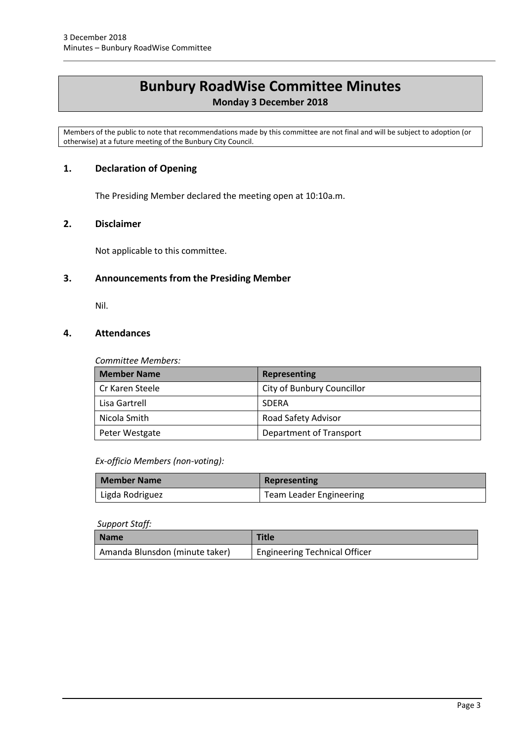# **Bunbury RoadWise Committee Minutes**

# **Monday 3 December 2018**

Members of the public to note that recommendations made by this committee are not final and will be subject to adoption (or otherwise) at a future meeting of the Bunbury City Council.

# <span id="page-2-0"></span>**1. Declaration of Opening**

The Presiding Member declared the meeting open at 10:10a.m.

# <span id="page-2-1"></span>**2. Disclaimer**

Not applicable to this committee.

# <span id="page-2-2"></span>**3. Announcements from the Presiding Member**

Nil.

# <span id="page-2-3"></span>**4. Attendances**

#### *Committee Members:*

| <b>Member Name</b> | Representing               |
|--------------------|----------------------------|
| Cr Karen Steele    | City of Bunbury Councillor |
| Lisa Gartrell      | <b>SDERA</b>               |
| Nicola Smith       | Road Safety Advisor        |
| Peter Westgate     | Department of Transport    |

#### *Ex-officio Members (non-voting):*

| Member Name     | Representing                   |
|-----------------|--------------------------------|
| Ligda Rodriguez | <b>Team Leader Engineering</b> |

#### *Support Staff:*

| Name                           | Title                         |
|--------------------------------|-------------------------------|
| Amanda Blunsdon (minute taker) | Engineering Technical Officer |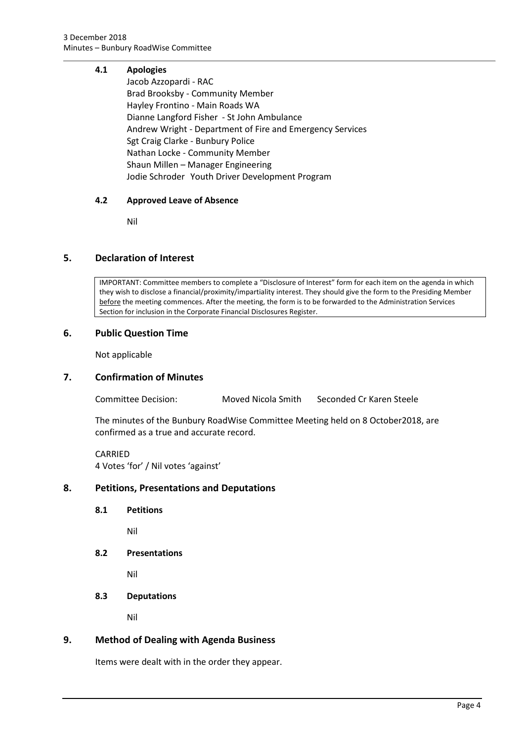## <span id="page-3-0"></span>**4.1 Apologies**

Jacob Azzopardi - RAC Brad Brooksby - Community Member Hayley Frontino - Main Roads WA Dianne Langford Fisher - St John Ambulance Andrew Wright - Department of Fire and Emergency Services Sgt Craig Clarke - Bunbury Police Nathan Locke - Community Member Shaun Millen – Manager Engineering Jodie Schroder Youth Driver Development Program

## <span id="page-3-1"></span>**4.2 Approved Leave of Absence**

Nil

# <span id="page-3-2"></span>**5. Declaration of Interest**

IMPORTANT: Committee members to complete a "Disclosure of Interest" form for each item on the agenda in which they wish to disclose a financial/proximity/impartiality interest. They should give the form to the Presiding Member before the meeting commences. After the meeting, the form is to be forwarded to the Administration Services Section for inclusion in the Corporate Financial Disclosures Register.

## <span id="page-3-3"></span>**6. Public Question Time**

Not applicable

#### <span id="page-3-4"></span>**7. Confirmation of Minutes**

Committee Decision: Moved Nicola Smith Seconded Cr Karen Steele

The minutes of the Bunbury RoadWise Committee Meeting held on 8 October2018, are confirmed as a true and accurate record.

CARRIED 4 Votes 'for' / Nil votes 'against'

#### <span id="page-3-6"></span><span id="page-3-5"></span>**8. Petitions, Presentations and Deputations**

**8.1 Petitions**

Nil

<span id="page-3-7"></span>**8.2 Presentations**

Nil

<span id="page-3-8"></span>**8.3 Deputations**

Nil

# <span id="page-3-9"></span>**9. Method of Dealing with Agenda Business**

Items were dealt with in the order they appear.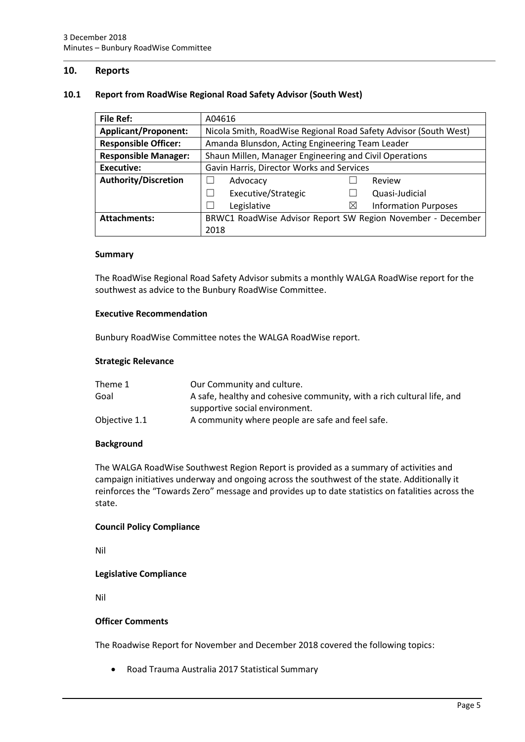## <span id="page-4-0"></span>**10. Reports**

#### **10.1 Report from RoadWise Regional Road Safety Advisor (South West)**

| <b>File Ref:</b>            | A04616                                                 |                                                                  |  |
|-----------------------------|--------------------------------------------------------|------------------------------------------------------------------|--|
| <b>Applicant/Proponent:</b> |                                                        | Nicola Smith, RoadWise Regional Road Safety Advisor (South West) |  |
| <b>Responsible Officer:</b> | Amanda Blunsdon, Acting Engineering Team Leader        |                                                                  |  |
| <b>Responsible Manager:</b> | Shaun Millen, Manager Engineering and Civil Operations |                                                                  |  |
| <b>Executive:</b>           | Gavin Harris, Director Works and Services              |                                                                  |  |
| <b>Authority/Discretion</b> | Advocacy                                               | Review                                                           |  |
|                             | Executive/Strategic                                    | Quasi-Judicial                                                   |  |
|                             | Legislative                                            | $\boxtimes$<br><b>Information Purposes</b>                       |  |
| <b>Attachments:</b>         |                                                        | BRWC1 RoadWise Advisor Report SW Region November - December      |  |
|                             | 2018                                                   |                                                                  |  |

#### **Summary**

The RoadWise Regional Road Safety Advisor submits a monthly WALGA RoadWise report for the southwest as advice to the Bunbury RoadWise Committee.

#### **Executive Recommendation**

Bunbury RoadWise Committee notes the WALGA RoadWise report.

#### **Strategic Relevance**

| Theme 1       | Our Community and culture.                                             |
|---------------|------------------------------------------------------------------------|
| Goal          | A safe, healthy and cohesive community, with a rich cultural life, and |
|               | supportive social environment.                                         |
| Objective 1.1 | A community where people are safe and feel safe.                       |

#### **Background**

The WALGA RoadWise Southwest Region Report is provided as a summary of activities and campaign initiatives underway and ongoing across the southwest of the state. Additionally it reinforces the "Towards Zero" message and provides up to date statistics on fatalities across the state.

#### **Council Policy Compliance**

Nil

#### **Legislative Compliance**

Nil

#### **Officer Comments**

The Roadwise Report for November and December 2018 covered the following topics:

Road Trauma Australia 2017 Statistical Summary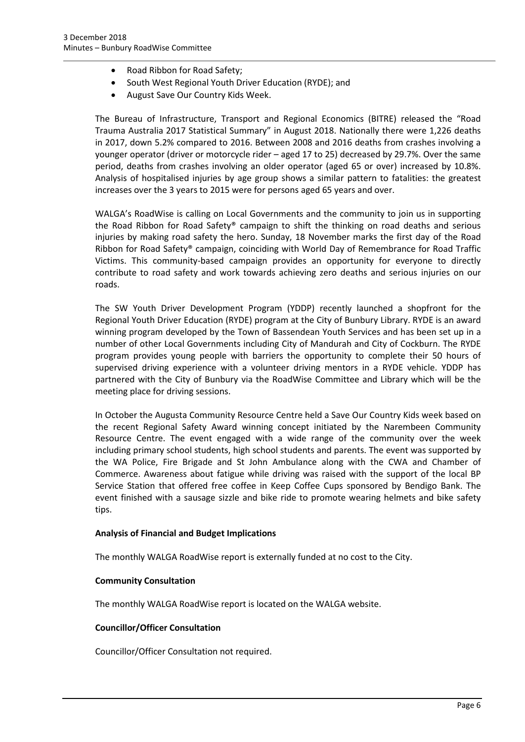- Road Ribbon for Road Safety;
- South West Regional Youth Driver Education (RYDE); and
- August Save Our Country Kids Week.

The Bureau of Infrastructure, Transport and Regional Economics (BITRE) released the "Road Trauma Australia 2017 Statistical Summary" in August 2018. Nationally there were 1,226 deaths in 2017, down 5.2% compared to 2016. Between 2008 and 2016 deaths from crashes involving a younger operator (driver or motorcycle rider – aged 17 to 25) decreased by 29.7%. Over the same period, deaths from crashes involving an older operator (aged 65 or over) increased by 10.8%. Analysis of hospitalised injuries by age group shows a similar pattern to fatalities: the greatest increases over the 3 years to 2015 were for persons aged 65 years and over.

WALGA's RoadWise is calling on Local Governments and the community to join us in supporting the Road Ribbon for Road Safety® campaign to shift the thinking on road deaths and serious injuries by making road safety the hero. Sunday, 18 November marks the first day of the Road Ribbon for Road Safety® campaign, coinciding with World Day of Remembrance for Road Traffic Victims. This community-based campaign provides an opportunity for everyone to directly contribute to road safety and work towards achieving zero deaths and serious injuries on our roads.

The SW Youth Driver Development Program (YDDP) recently launched a shopfront for the Regional Youth Driver Education (RYDE) program at the City of Bunbury Library. RYDE is an award winning program developed by the Town of Bassendean Youth Services and has been set up in a number of other Local Governments including City of Mandurah and City of Cockburn. The RYDE program provides young people with barriers the opportunity to complete their 50 hours of supervised driving experience with a volunteer driving mentors in a RYDE vehicle. YDDP has partnered with the City of Bunbury via the RoadWise Committee and Library which will be the meeting place for driving sessions.

In October the Augusta Community Resource Centre held a Save Our Country Kids week based on the recent Regional Safety Award winning concept initiated by the Narembeen Community Resource Centre. The event engaged with a wide range of the community over the week including primary school students, high school students and parents. The event was supported by the WA Police, Fire Brigade and St John Ambulance along with the CWA and Chamber of Commerce. Awareness about fatigue while driving was raised with the support of the local BP Service Station that offered free coffee in Keep Coffee Cups sponsored by Bendigo Bank. The event finished with a sausage sizzle and bike ride to promote wearing helmets and bike safety tips.

#### **Analysis of Financial and Budget Implications**

The monthly WALGA RoadWise report is externally funded at no cost to the City.

#### **Community Consultation**

The monthly WALGA RoadWise report is located on the WALGA website.

#### **Councillor/Officer Consultation**

Councillor/Officer Consultation not required.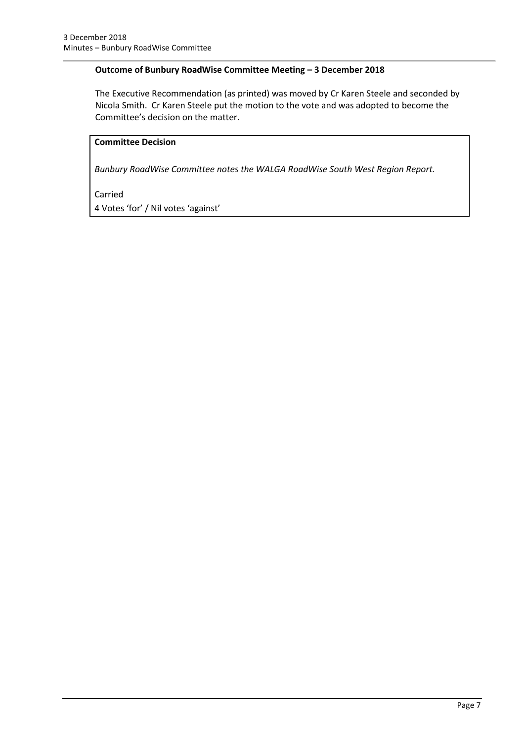## **Outcome of Bunbury RoadWise Committee Meeting – 3 December 2018**

The Executive Recommendation (as printed) was moved by Cr Karen Steele and seconded by Nicola Smith. Cr Karen Steele put the motion to the vote and was adopted to become the Committee's decision on the matter.

# **Committee Decision**

*Bunbury RoadWise Committee notes the WALGA RoadWise South West Region Report.* 

#### Carried

4 Votes 'for' / Nil votes 'against'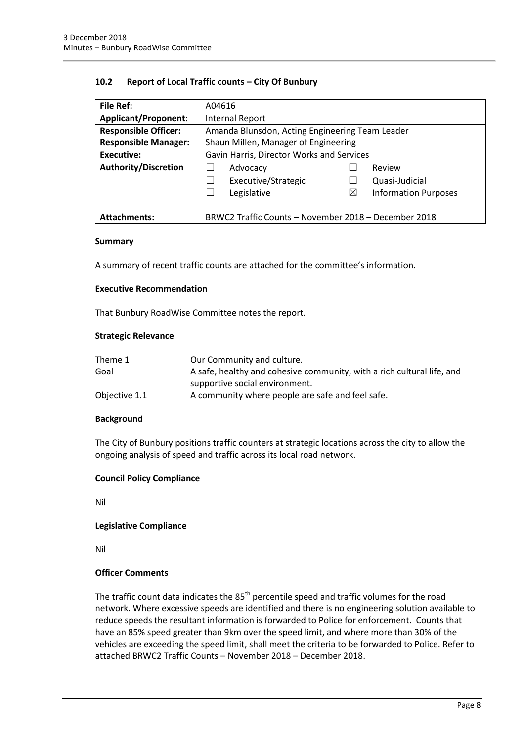#### **10.2 Report of Local Traffic counts – City Of Bunbury**

| <b>File Ref:</b>            | A04616                                                    |  |  |
|-----------------------------|-----------------------------------------------------------|--|--|
| <b>Applicant/Proponent:</b> | <b>Internal Report</b>                                    |  |  |
| <b>Responsible Officer:</b> | Amanda Blunsdon, Acting Engineering Team Leader           |  |  |
| <b>Responsible Manager:</b> | Shaun Millen, Manager of Engineering                      |  |  |
| Executive:                  | Gavin Harris, Director Works and Services                 |  |  |
| Authority/Discretion        | Advocacy<br>Review                                        |  |  |
|                             | Executive/Strategic<br>Quasi-Judicial                     |  |  |
|                             | Legislative<br>$\boxtimes$<br><b>Information Purposes</b> |  |  |
|                             |                                                           |  |  |
| <b>Attachments:</b>         | BRWC2 Traffic Counts - November 2018 - December 2018      |  |  |

#### **Summary**

A summary of recent traffic counts are attached for the committee's information.

#### **Executive Recommendation**

That Bunbury RoadWise Committee notes the report.

#### **Strategic Relevance**

| Theme 1       | Our Community and culture.                                             |
|---------------|------------------------------------------------------------------------|
| Goal          | A safe, healthy and cohesive community, with a rich cultural life, and |
|               | supportive social environment.                                         |
| Objective 1.1 | A community where people are safe and feel safe.                       |

#### **Background**

The City of Bunbury positions traffic counters at strategic locations across the city to allow the ongoing analysis of speed and traffic across its local road network.

#### **Council Policy Compliance**

Nil

#### **Legislative Compliance**

Nil

### **Officer Comments**

The traffic count data indicates the  $85<sup>th</sup>$  percentile speed and traffic volumes for the road network. Where excessive speeds are identified and there is no engineering solution available to reduce speeds the resultant information is forwarded to Police for enforcement. Counts that have an 85% speed greater than 9km over the speed limit, and where more than 30% of the vehicles are exceeding the speed limit, shall meet the criteria to be forwarded to Police. Refer to attached BRWC2 Traffic Counts – November 2018 – December 2018.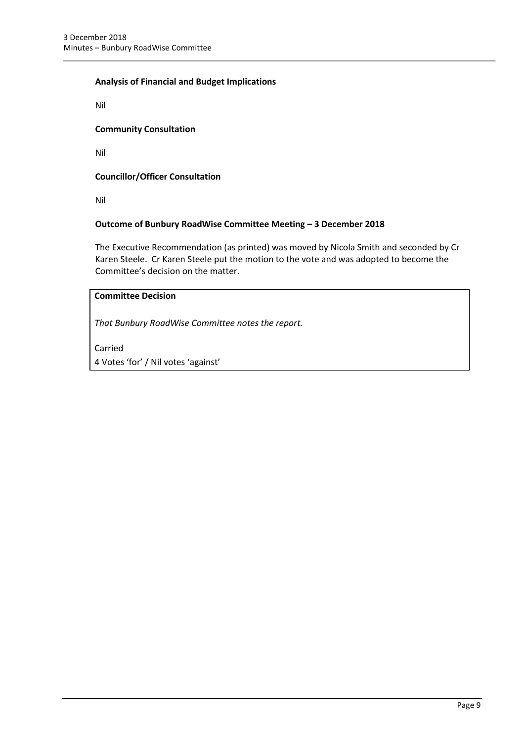## **Analysis of Financial and Budget Implications**

Nil

### **Community Consultation**

Nil

## **Councillor/Officer Consultation**

Nil

## **Outcome of Bunbury RoadWise Committee Meeting – 3 December 2018**

The Executive Recommendation (as printed) was moved by Nicola Smith and seconded by Cr Karen Steele. Cr Karen Steele put the motion to the vote and was adopted to become the Committee's decision on the matter.

# **Committee Decision**

*That Bunbury RoadWise Committee notes the report.*

Carried

4 Votes 'for' / Nil votes 'against'